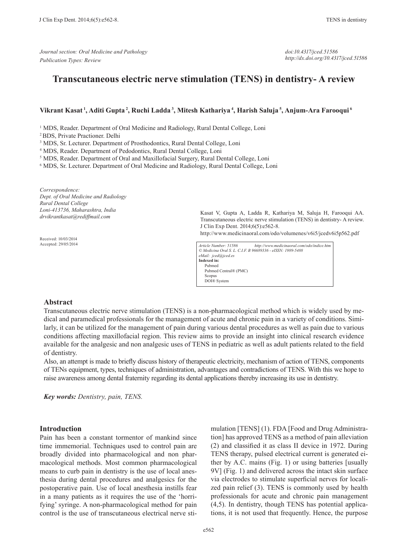*Journal section: Oral Medicine and Pathology Publication Types: Review*

*doi:10.4317/jced.51586 http://dx.doi.org/10.4317/jced.51586*

# **Transcutaneous electric nerve stimulation (TENS) in dentistry- A review**

#### **Vikrant Kasat 1, Aditi Gupta 2, Ruchi Ladda 3, Mitesh Kathariya 4, Harish Saluja 5, Anjum-Ara Farooqui 6**

<sup>1</sup> MDS, Reader. Department of Oral Medicine and Radiology, Rural Dental College, Loni

2 BDS, Private Practioner. Delhi

<sup>3</sup> MDS, Sr. Lecturer. Department of Prosthodontics, Rural Dental College, Loni

4 MDS, Reader. Department of Pedodontics, Rural Dental College, Loni

<sup>5</sup> MDS, Reader. Department of Oral and Maxillofacial Surgery, Rural Dental College, Loni

6 MDS, Sr. Lecturer. Department of Oral Medicine and Radiology, Rural Dental College, Loni

*Correspondence: Dept. of Oral Medicine and Radiology Rural Dental College Loni-413736, Maharashtra, India drvikrantkasat@rediffmail.com*

Received: 10/03/2014 Accepted: 29/05/2014 Kasat V, Gupta A, Ladda R, Kathariya M, Saluja H, Farooqui AA. Transcutaneous electric nerve stimulation (TENS) in dentistry- A review. J Clin Exp Dent. 2014;6(5):e562-8.

http://www.medicinaoral.com/odo/volumenes/v6i5/jcedv6i5p562.pdf

*Article Number: 51586 http://www.medicinaoral.com/odo/indice.htm © Medicina Oral S. L. C.I.F. B 96689336 - eISSN: 1989-5488 eMail: jced@jced.es* **Indexed in:** Pubmed Pubmed Central® (PMC) Scopus DOI® System

#### **Abstract**

Transcutaneous electric nerve stimulation (TENS) is a non-pharmacological method which is widely used by medical and paramedical professionals for the management of acute and chronic pain in a variety of conditions. Similarly, it can be utilized for the management of pain during various dental procedures as well as pain due to various conditions affecting maxillofacial region. This review aims to provide an insight into clinical research evidence available for the analgesic and non analgesic uses of TENS in pediatric as well as adult patients related to the field of dentistry.

Also, an attempt is made to briefly discuss history of therapeutic electricity, mechanism of action of TENS, components of TENs equipment, types, techniques of administration, advantages and contradictions of TENS. With this we hope to raise awareness among dental fraternity regarding its dental applications thereby increasing its use in dentistry.

*Key words: Dentistry, pain, TENS.*

#### **Introduction**

Pain has been a constant tormentor of mankind since time immemorial. Techniques used to control pain are broadly divided into pharmacological and non pharmacological methods. Most common pharmacological means to curb pain in dentistry is the use of local anesthesia during dental procedures and analgesics for the postoperative pain. Use of local anesthesia instills fear in a many patients as it requires the use of the 'horrifying' syringe. A non-pharmacological method for pain control is the use of transcutaneous electrical nerve stimulation [TENS] (1). FDA [Food and Drug Administration] has approved TENS as a method of pain alleviation (2) and classified it as class II device in 1972. During TENS therapy, pulsed electrical current is generated either by A.C. mains (Fig. 1) or using batteries [usually 9V] (Fig. 1) and delivered across the intact skin surface via electrodes to stimulate superficial nerves for localized pain relief (3). TENS is commonly used by health professionals for acute and chronic pain management (4,5). In dentistry, though TENS has potential applications, it is not used that frequently. Hence, the purpose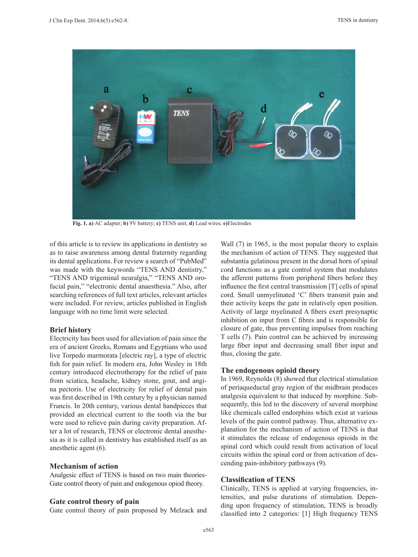

**Fig. 1. a)** AC adapter; **b)** 9V battery; **c)** TENS unit; **d)** Lead wires; **e)**Electrodes

of this article is to review its applications in dentistry so as to raise awareness among dental fraternity regarding its dental applications. For review a search of "PubMed" was made with the keywords "TENS AND dentistry," "TENS AND trigeminal neuralgia," "TENS AND orofacial pain," "electronic dental anaesthesia." Also, after searching references of full text articles, relevant articles were included. For review, articles published in English language with no time limit were selected.

### **Brief history**

Electricity has been used for alleviation of pain since the era of ancient Greeks, Romans and Egyptians who used live Torpedo marmorata [electric ray], a type of electric fish for pain relief. In modern era, John Wesley in 18th century introduced electrotherapy for the relief of pain from sciatica, headache, kidney stone, gout, and angina pectoris. Use of electricity for relief of dental pain was first described in 19th century by a physician named Francis. In 20th century, various dental handpieces that provided an electrical current to the tooth via the bur were used to relieve pain during cavity preparation. After a lot of research, TENS or electronic dental anesthesia as it is called in dentistry has established itself as an anesthetic agent (6).

### **Mechanism of action**

Analgesic effect of TENS is based on two main theories-Gate control theory of pain and endogenous opiod theory.

### **Gate control theory of pain**

Gate control theory of pain proposed by Melzack and

Wall  $(7)$  in 1965, is the most popular theory to explain the mechanism of action of TENS. They suggested that substantia gelatinosa present in the dorsal horn of spinal cord functions as a gate control system that modulates the afferent patterns from peripheral fibers before they influence the first central transmission [T] cells of spinal cord. Small unmyelinated 'C' fibers transmit pain and their activity keeps the gate in relatively open position. Activity of large myelinated A fibers exert presynaptic inhibition on input from C fibres and is responsible for closure of gate, thus preventing impulses from reaching T cells (7). Pain control can be achieved by increasing large fiber input and decreasing small fiber input and thus, closing the gate.

### **The endogenous opioid theory**

In 1969, Reynolds (8) showed that electrical stimulation of periaqueductal gray region of the midbrain produces analgesia equivalent to that induced by morphine. Subsequently, this led to the discovery of several morphine like chemicals called endorphins which exist at various levels of the pain control pathway. Thus, alternative explanation for the mechanism of action of TENS is that it stimulates the release of endogenous opioids in the spinal cord which could result from activation of local circuits within the spinal cord or from activation of descending pain-inhibitory pathways (9).

### **Classification of TENS**

Clinically, TENS is applied at varying frequencies, intensities, and pulse durations of stimulation. Depending upon frequency of stimulation, TENS is broadly classified into 2 categories: [1] High frequency TENS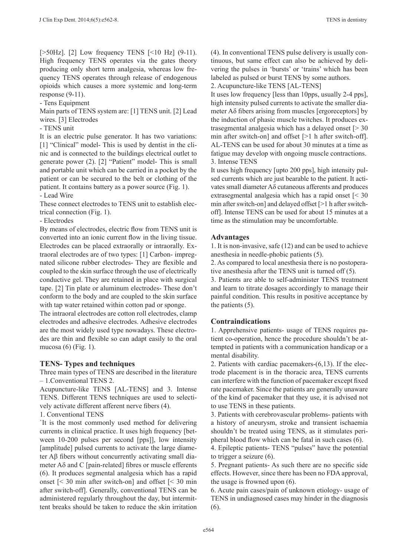[>50Hz]. [2] Low frequency TENS [<10 Hz] (9-11). High frequency TENS operates via the gates theory producing only short term analgesia, whereas low frequency TENS operates through release of endogenous opioids which causes a more systemic and long-term response (9-11).

- Tens Equipment

Main parts of TENS system are: [1] TENS unit. [2] Lead wires. [3] Electrodes

- TENS unit

It is an electric pulse generator. It has two variations: [1] "Clinical" model- This is used by dentist in the clinic and is connected to the buildings electrical outlet to generate power (2). [2] "Patient" model- This is small and portable unit which can be carried in a pocket by the patient or can be secured to the belt or clothing of the patient. It contains battery as a power source (Fig. 1). - Lead Wire

These connect electrodes to TENS unit to establish elec-

trical connection (Fig. 1).

- Electrodes

By means of electrodes, electric flow from TENS unit is converted into an ionic current flow in the living tissue. Electrodes can be placed extraorally or intraorally. Extraoral electrodes are of two types: [1] Carbon- impregnated silicone rubber electrodes- They are flexible and coupled to the skin surface through the use of electrically conductive gel. They are retained in place with surgical tape. [2] Tin plate or aluminum electrodes- These don't conform to the body and are coupled to the skin surface with tap water retained within cotton pad or sponge.

The intraoral electrodes are cotton roll electrodes, clamp electrodes and adhesive electrodes. Adhesive electrodes are the most widely used type nowadays. These electrodes are thin and flexible so can adapt easily to the oral mucosa (6) (Fig. 1).

### **TENS- Types and techniques**

Three main types of TENS are described in the literature – 1.Conventional TENS 2.

Acupuncture-like TENS [AL-TENS] and 3. Intense TENS. Different TENS techniques are used to selectively activate different afferent nerve fibers (4).

1. Conventional TENS

`It is the most commonly used method for delivering currents in clinical practice. It uses high frequency [between 10-200 pulses per second [pps]], low intensity [amplitude] pulsed currents to activate the large diameter Aβ fibers without concurrently activating small diameter  $A\delta$  and C [pain-related] fibres or muscle efferents (6). It produces segmental analgesia which has a rapid onset [< 30 min after switch-on] and offset [< 30 min after switch-off]. Generally, conventional TENS can be administered regularly throughout the day, but intermittent breaks should be taken to reduce the skin irritation

(4). In conventional TENS pulse delivery is usually continuous, but same effect can also be achieved by delivering the pulses in 'bursts' or 'trains' which has been labeled as pulsed or burst TENS by some authors.

2. Acupuncture-like TENS [AL-TENS]

It uses low frequency [less than 10pps, usually 2-4 pps], high intensity pulsed currents to activate the smaller diameter Aδ fibers arising from muscles [ergoreceptors] by the induction of phasic muscle twitches. It produces extrasegmental analgesia which has a delayed onset  $\lceil$  > 30 min after switch-on] and offset [>1 h after switch-off]. AL-TENS can be used for about 30 minutes at a time as fatigue may develop with ongoing muscle contractions. 3. Intense TENS

It uses high frequency [upto 200 pps], high intensity pulsed currents which are just bearable to the patient. It activates small diameter Aδ cutaneous afferents and produces extrasegmental analgesia which has a rapid onset [< 30 min after switch-on] and delayed offset [>1 h after switchoff]. Intense TENS can be used for about 15 minutes at a time as the stimulation may be uncomfortable.

### **Advantages**

1. It is non-invasive, safe (12) and can be used to achieve anesthesia in needle-phobic patients (5).

2. As compared to local anesthesia there is no postoperative anesthesia after the TENS unit is turned off (5).

3. Patients are able to self-administer TENS treatment and learn to titrate dosages accordingly to manage their painful condition. This results in positive acceptance by the patients (5).

## **Contraindications**

1. Apprehensive patients- usage of TENS requires patient co-operation, hence the procedure shouldn't be attempted in patients with a communication handicap or a mental disability.

2. Patients with cardiac pacemakers-(6,13). If the electrode placement is in the thoracic area, TENS currents can interfere with the function of pacemaker except fixed rate pacemaker. Since the patients are generally unaware of the kind of pacemaker that they use, it is advised not to use TENS in these patients.

3. Patients with cerebrovascular problems- patients with a history of aneurysm, stroke and transient ischaemia shouldn't be treated using TENS, as it stimulates peripheral blood flow which can be fatal in such cases (6).

4. Epileptic patients- TENS "pulses" have the potential to trigger a seizure (6).

5. Pregnant patients- As such there are no specific side effects. However, since there has been no FDA approval, the usage is frowned upon (6).

6. Acute pain cases/pain of unknown etiology- usage of TENS in undiagnosed cases may hinder in the diagnosis (6).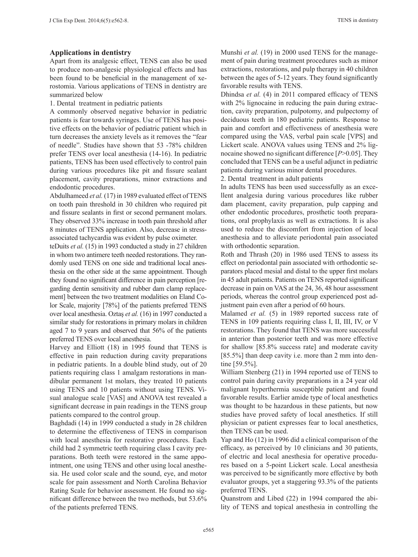## **Applications in dentistry**

Apart from its analgesic effect, TENS can also be used to produce non-analgesic physiological effects and has been found to be beneficial in the management of xerostomia. Various applications of TENS in dentistry are summarized below

1. Dental treatment in pediatric patients

A commonly observed negative behavior in pediatric patients is fear towards syringes. Use of TENS has positive effects on the behavior of pediatric patient which in turn decreases the anxiety levels as it removes the "fear of needle". Studies have shown that 53 -78% children prefer TENS over local anesthesia (14-16). In pediatric patients, TENS has been used effectively to control pain during various procedures like pit and fissure sealant placement, cavity preparations, minor extractions and endodontic procedures.

Abdulhameed *et al.* (17) in 1989 evaluated effect of TENS on tooth pain threshold in 30 children who required pit and fissure sealants in first or second permanent molars. They observed 33% increase in tooth pain threshold after 8 minutes of TENS application. Also, decrease in stressassociated tachycardia was evident by pulse oximeter.

teDuits *et al.* (15) in 1993 conducted a study in 27 children in whom two antimere teeth needed restorations. They randomly used TENS on one side and traditional local anesthesia on the other side at the same appointment. Though they found no significant difference in pain perception [regarding dentin sensitivity and rubber dam clamp replacement] between the two treatment modalities on Eland Color Scale, majority [78%] of the patients preferred TENS over local anesthesia. Oztaş *et al.* (16) in 1997 conducted a similar study for restorations in primary molars in children aged 7 to 9 years and observed that 56% of the patients preferred TENS over local anesthesia.

Harvey and Elliott (18) in 1995 found that TENS is effective in pain reduction during cavity preparations in pediatric patients. In a double blind study, out of 20 patients requiring class 1 amalgam restorations in mandibular permanent 1st molars, they treated 10 patients using TENS and 10 patients without using TENS. Visual analogue scale [VAS] and ANOVA test revealed a significant decrease in pain readings in the TENS group patients compared to the control group.

Baghdadi (14) in 1999 conducted a study in 28 children to determine the effectiveness of TENS in comparison with local anesthesia for restorative procedures. Each child had 2 symmetric teeth requiring class I cavity preparations. Both teeth were restored in the same appointment, one using TENS and other using local anesthesia. He used color scale and the sound, eye, and motor scale for pain assessment and North Carolina Behavior Rating Scale for behavior assessment. He found no significant difference between the two methods, but 53.6% of the patients preferred TENS.

Munshi *et al.* (19) in 2000 used TENS for the management of pain during treatment procedures such as minor extractions, restorations, and pulp therapy in 40 children between the ages of 5-12 years. They found significantly favorable results with TENS.

Dhindsa *et al.* (4) in 2011 compared efficacy of TENS with 2% lignocaine in reducing the pain during extraction, cavity preparation, pulpotomy, and pulpectomy of deciduous teeth in 180 pediatric patients. Response to pain and comfort and effectiveness of anesthesia were compared using the VAS, verbal pain scale [VPS] and Lickert scale. ANOVA values using TENS and 2% lignocaine showed no significant difference [*P*>0.05]. They concluded that TENS can be a useful adjunct in pediatric patients during various minor dental procedures.

2. Dental treatment in adult patients

In adults TENS has been used successfully as an excellent analgesia during various procedures like rubber dam placement, cavity preparation, pulp capping and other endodontic procedures, prosthetic tooth preparations, oral prophylaxis as well as extractions. It is also used to reduce the discomfort from injection of local anesthesia and to alleviate periodontal pain associated with orthodontic separation.

Roth and Thrash (20) in 1986 used TENS to assess its effect on periodontal pain associated with orthodontic separators placed mesial and distal to the upper first molars in 45 adult patients. Patients on TENS reported significant decrease in pain on VAS at the 24, 36, 48 hour assessment periods, whereas the control group experienced post adjustment pain even after a period of 60 hours.

Malamed *et al.* (5) in 1989 reported success rate of TENS in 109 patients requiring class I, II, III, IV, or V restorations. They found that TENS was more successful in anterior than posterior teeth and was more effective for shallow [85.8% success rate] and moderate cavity [85.5%] than deep cavity i.e. more than 2 mm into dentine [59.5%].

William Stenberg (21) in 1994 reported use of TENS to control pain during cavity preparations in a 24 year old malignant hyperthermia susceptible patient and found favorable results. Earlier amide type of local anesthetics was thought to be hazardous in these patients, but now studies have proved safety of local anesthetics. If still physician or patient expresses fear to local anesthetics, then TENS can be used.

Yap and Ho (12) in 1996 did a clinical comparison of the efficacy, as perceived by 10 clinicians and 30 patients, of electric and local anesthesia for operative procedures based on a 5-point Lickert scale. Local anesthesia was perceived to be significantly more effective by both evaluator groups, yet a staggering 93.3% of the patients preferred TENS.

Quanstrom and Libed (22) in 1994 compared the ability of TENS and topical anesthesia in controlling the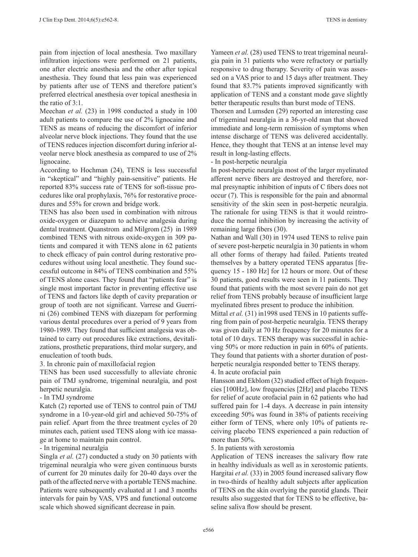pain from injection of local anesthesia. Two maxillary infiltration injections were performed on 21 patients, one after electric anesthesia and the other after topical anesthesia. They found that less pain was experienced by patients after use of TENS and therefore patient's preferred electrical anesthesia over topical anesthesia in the ratio of 3:1.

Meechan *et al.* (23) in 1998 conducted a study in 100 adult patients to compare the use of 2% lignocaine and TENS as means of reducing the discomfort of inferior alveolar nerve block injections. They found that the use of TENS reduces injection discomfort during inferior alveolar nerve block anesthesia as compared to use of 2% lignocaine.

According to Hochman (24), TENS is less successful in "skeptical" and "highly pain-sensitive" patients. He reported 83% success rate of TENS for soft-tissue procedures like oral prophylaxis, 76% for restorative procedures and 55% for crown and bridge work.

TENS has also been used in combination with nitrous oxide-oxygen or diazepam to achieve analgesia during dental treatment. Quanstrom and Milgrom (25) in 1989 combined TENS with nitrous oxide-oxygen in 309 patients and compared it with TENS alone in 62 patients to check efficacy of pain control during restorative procedures without using local anesthetic. They found successful outcome in 84% of TENS combination and 55% of TENS alone cases. They found that "patients fear" is single most important factor in preventing effective use of TENS and factors like depth of cavity preparation or group of tooth are not significant. Varrese and Guerrini (26) combined TENS with diazepam for performing various dental procedures over a period of 9 years from 1980-1989. They found that sufficient analgesia was obtained to carry out procedures like extractions, devitalizations, prosthetic preparations, third molar surgery, and enucleation of tooth buds.

3. In chronic pain of maxillofacial region

TENS has been used successfully to alleviate chronic pain of TMJ syndrome, trigeminal neuralgia, and post herpetic neuralgia.

- In TMJ syndrome

Katch (2) reported use of TENS to control pain of TMJ syndrome in a 10-year-old girl and achieved 50-75% of pain relief. Apart from the three treatment cycles of 20 minutes each, patient used TENS along with ice massage at home to maintain pain control.

- In trigeminal neuralgia

Singla *et al.* (27) conducted a study on 30 patients with trigeminal neuralgia who were given continuous bursts of current for 20 minutes daily for 20-40 days over the path of the affected nerve with a portable TENS machine. Patients were subsequently evaluated at 1 and 3 months intervals for pain by VAS, VPS and functional outcome scale which showed significant decrease in pain.

Yameen *et al.* (28) used TENS to treat trigeminal neuralgia pain in 31 patients who were refractory or partially responsive to drug therapy. Severity of pain was assessed on a VAS prior to and 15 days after treatment. They found that 83.7% patients improved significantly with application of TENS and a constant mode gave slightly better therapeutic results than burst mode of TENS.

Thorsen and Lumsden (29) reported an interesting case of trigeminal neuralgia in a 36-yr-old man that showed immediate and long-term remission of symptoms when intense discharge of TENS was delivered accidentally. Hence, they thought that TENS at an intense level may result in long-lasting effects.

- In post-herpetic neuralgia

In post-herpetic neuralgia most of the larger myelinated afferent nerve fibers are destroyed and therefore, normal presynaptic inhibition of inputs of C fibers does not occur (7). This is responsible for the pain and abnormal sensitivity of the skin seen in post-herpetic neuralgia. The rationale for using TENS is that it would reintroduce the normal inhibition by increasing the activity of remaining large fibers (30).

Nathan and Wall (30) in 1974 used TENS to relive pain of severe post-herpetic neuralgia in 30 patients in whom all other forms of therapy had failed. Patients treated themselves by a battery operated TENS apparatus [frequency 15 - 180 Hz] for 12 hours or more. Out of these 30 patients, good results were seen in 11 patients. They found that patients with the most severe pain do not get relief from TENS probably because of insufficient large myelinated fibres present to produce the inhibition.

Mittal *et al.* (31) in1998 used TENS in 10 patients suffering from pain of post-herpetic neuralgia. TENS therapy was given daily at 70 Hz frequency for 20 minutes for a total of 10 days. TENS therapy was successful in achieving 50% or more reduction in pain in 60% of patients. They found that patients with a shorter duration of postherpetic neuralgia responded better to TENS therapy.

4. In acute orofacial pain

Hansson and Ekblom (32) studied effect of high frequencies [100Hz], low frequencies [2Hz] and placebo TENS for relief of acute orofacial pain in 62 patients who had suffered pain for 1-4 days. A decrease in pain intensity exceeding 50% was found in 38% of patients receiving either form of TENS, where only 10% of patients receiving placebo TENS experienced a pain reduction of more than 50%.

5. In patients with xerostomia

Application of TENS increases the salivary flow rate in healthy individuals as well as in xerostomic patients. Hargitai *et al.* (33) in 2005 found increased salivary flow in two-thirds of healthy adult subjects after application of TENS on the skin overlying the parotid glands. Their results also suggested that for TENS to be effective, baseline saliva flow should be present.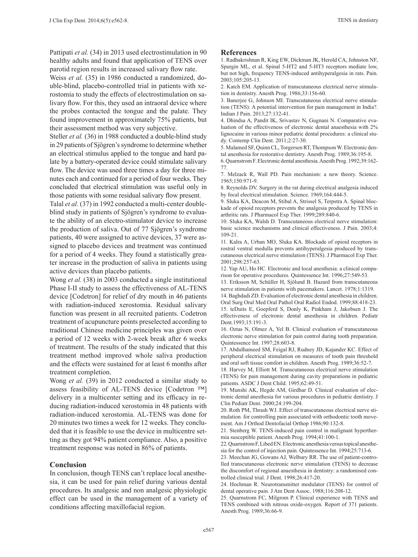Pattipati *et al.* (34) in 2013 used electrostimulation in 90 healthy adults and found that application of TENS over parotid region results in increased salivary flow rate.

Weiss *et al.* (35) in 1986 conducted a randomized, double-blind, placebo-controlled trial in patients with xerostomia to study the effects of electrostimulation on salivary flow. For this, they used an intraoral device where the probes contacted the tongue and the palate. They found improvement in approximately 75% patients, but their assessment method was very subjective.

Steller *et al.* (36) in 1988 conducted a double-blind study in 29 patients of Sjögren's syndrome to determine whether an electrical stimulus applied to the tongue and hard palate by a battery-operated device could stimulate salivary flow. The device was used three times a day for three minutes each and continued for a period of four weeks. They concluded that electrical stimulation was useful only in those patients with some residual salivary flow present.

Talal *et al.* (37) in 1992 conducted a multi-center doubleblind study in patients of Sjögren's syndrome to evaluate the ability of an electro-stimulator device to increase the production of saliva. Out of 77 Sjögren's syndrome patients, 40 were assigned to active devices, 37 were assigned to placebo devices and treatment was continued for a period of 4 weeks. They found a statistically greater increase in the production of saliva in patients using active devices than placebo patients.

Wong *et al.* (38) in 2003 conducted a single institutional Phase I-II study to assess the effectiveness of AL-TENS device [Codetron] for relief of dry mouth in 46 patients with radiation-induced xerostomia. Residual salivary function was present in all recruited patients. Codetron treatment of acupuncture points preselected according to traditional Chinese medicine principles was given over a period of 12 weeks with 2-week break after 6 weeks of treatment. The results of the study indicated that this treatment method improved whole saliva production and the effects were sustained for at least 6 months after treatment completion.

Wong *et al.* (39) in 2012 conducted a similar study to assess feasibility of AL-TENS device [Codetron ™] delivery in a multicenter setting and its efficacy in reducing radiation-induced xerostomia in 48 patients with radiation-induced xerostomia. AL-TENS was done for 20 minutes two times a week for 12 weeks. They concluded that it is feasible to use the device in multicentre setting as they got 94% patient compliance. Also, a positive treatment response was noted in 86% of patients.

### **Conclusion**

In conclusion, though TENS can't replace local anesthesia, it can be used for pain relief during various dental procedures. Its analgesic and non analgesic physiologic effect can be used in the management of a variety of conditions affecting maxillofacial region.

#### **References**

1. Radhakrishnan R, King EW, Dickman JK, Herold CA, Johnston NF, Spurgin ML, et al. Spinal 5-HT2 and 5-HT3 receptors mediate low, but not high, frequency TENS-induced antihyperalgesia in rats. Pain. 2003;105:205-13.

2. Katch EM. Application of transcutaneous electrical nerve stimulation in dentistry. Anesth Prog. 1986;33:156-60.

3. Banerjee G, Johnson MI. Transcutaneous electrical nerve stimulation (TENS): A potential intervention for pain management in India?. Indian J Pain. 2013;27:132-41.

4. Dhindsa A, Pandit IK, Srivastav N, Gugnani N. Comparative evaluation of the effectiveness of electronic dental anaesthesia with 2% lignocaine in various minor pediatric dental procedures: a clinical study. Contemp Clin Dent. 2011;2:27-30.

5. Malamed SF, Quinn CL, Torgersen RT, Thompson W. Electronic dental anesthesia for restorative dentistry. Anesth Prog. 1989;36:195-8.

6. Quarnstrom F. Electronic dental anesthesia. Anesth Prog. 1992;39:162- 77.

7. Melzack R, Wall PD. Pain mechanism: a new theory. Science. 1965;150:971-9.

8. Reynolds DV. Surgery in the rat during electrical analgesia induced by focal electrical stimulation. Science. 1969;164:444-5.

9. Sluka KA, Deacon M, Stibal A, Strissel S, Terpstra A. Spinal blockade of opioid receptors prevents the analgesia produced by TENS in arthritic rats. J Pharmacol Exp Ther. 1999;289:840-6.

10. Sluka KA, Walsh D. Transcutaneous electrical nerve stimulation: basic science mechanisms and clinical effectiveness. J Pain. 2003;4: 109-21.

11. Kalra A, Urban MO, Sluka KA. Blockade of opioid receptors in rostral ventral medulla prevents antihyperalgesia produced by transcutaneous electrical nerve stimulation (TENS). J Pharmacol Exp Ther. 2001;298:257-63.

12. Yap AU, Ho HC. Electronic and local anesthesia: a clinical comparison for operative procedures. Quintessence Int. 1996;27:549-53.

13. Eriksson M, Schüller H, Sjölund B. Hazard from transcutaneous nerve stimulation in patients with pacemakers. Lancet. 1978;1:1319.

14. Baghdadi ZD. Evaluation of electronic dental anesthesia in children. Oral Surg Oral Med Oral Pathol Oral Radiol Endod. 1999;88:418-23. 15. teDuits E, Goepferd S, Donly K, Pinkham J, Jakobsen J. The effectiveness of electronic dental anesthesia in children. Pediatr Dent.1993;15:191-3.

16. Oztas N, Olmez A, Yel B. Clinical evaluation of transcutaneous electronic nerve stimulation for pain control during tooth preparation. Quintessence Int. 1997;28:603-8.

17. Abdulhameed SM, Feigal RJ, Rudney JD, Kajander KC. Effect of peripheral electrical stimulation on measures of tooth pain threshold and oral soft tissue comfort in children. Anesth Prog. 1989;36:52-7.

18. Harvey M, Elliott M. Transcutaneous electrical nerve stimulation (TENS) for pain management during cavity preparations in pediatric patients. ASDC J Dent Child. 1995;62:49-51.

19. Munshi AK, Hegde AM, Girdhar D. Clinical evaluation of electronic dental anesthesia for various procedures in pediatric dentistry. J Clin Pediatr Dent. 2000;24:199-204.

20. Roth PM, Thrash WJ. Effect of transcutaneous electrical nerve stimulation for controlling pain associated with orthodontic tooth movement. Am J Orthod Dentofacial Orthop 1986;90:132-8.

21. Stenberg W. TENS-induced pain control in malignant hyperthermia susceptible patient. Anesth Prog. 1994;41:100-1.

22. Quarnstrom F, Libed EN. Electronic anesthesia versus topical anesthesia for the control of injection pain. Quintessence Int. 1994;25:713-6.

23. Meechan JG, Gowans AJ, Welbury RR. The use of patient-controlled transcutaneous electronic nerve stimulation (TENS) to decrease the discomfort of regional anaesthesia in dentistry: a randomised controlled clinical trial. J Dent. 1998;26:417-20.

24. Hochman R. Neurotransmitter modulator (TENS) for control of dental operative pain. J Am Dent Assoc. 1988;116:208-12.

25. Quarnstrom FC, Milgrom P. Clinical experience with TENS and TENS combined with nitrous oxide-oxygen. Report of 371 patients. Anesth Prog. 1989;36:66-9.